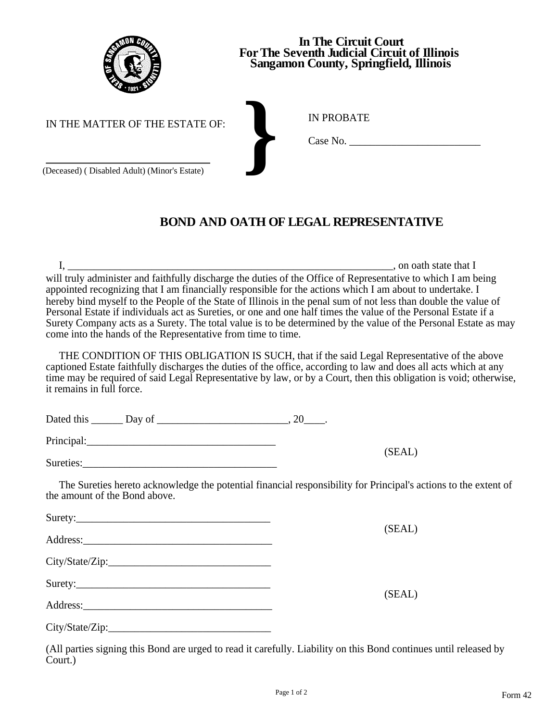

## **In The Circuit Court For The Seventh Judicial Circuit of Illinois Sangamon County, Springfield, Illinois**

IN PROBATE

IN THE MATTER OF THE ESTATE OF:

(Deceased) ( Disabled Adult) (Minor's Estate) **}** Case No. \_\_\_\_\_\_\_\_\_\_\_\_\_\_\_\_\_\_\_\_\_\_\_\_\_

## **BOND AND OATH OF LEGAL REPRESENTATIVE**

 I, \_\_\_\_\_\_\_\_\_\_\_\_\_\_\_\_\_\_\_\_\_\_\_\_\_\_\_\_\_\_\_\_\_\_\_\_\_\_\_\_\_\_\_\_\_\_\_\_\_\_\_\_\_\_\_\_\_\_\_\_\_\_, on oath state that I will truly administer and faithfully discharge the duties of the Office of Representative to which I am being appointed recognizing that I am financially responsible for the actions which I am about to undertake. I hereby bind myself to the People of the State of Illinois in the penal sum of not less than double the value of Personal Estate if individuals act as Sureties, or one and one half times the value of the Personal Estate if a Surety Company acts as a Surety. The total value is to be determined by the value of the Personal Estate as may come into the hands of the Representative from time to time.

 THE CONDITION OF THIS OBLIGATION IS SUCH, that if the said Legal Representative of the above captioned Estate faithfully discharges the duties of the office, according to law and does all acts which at any time may be required of said Legal Representative by law, or by a Court, then this obligation is void; otherwise, it remains in full force.

| Dated this <u>Day</u> of |        |
|--------------------------|--------|
| Principal:               |        |
| Sureties:                | (SEAL) |

 The Sureties hereto acknowledge the potential financial responsibility for Principal's actions to the extent of the amount of the Bond above.

| Surety:  |        |
|----------|--------|
|          | (SEAL) |
| Address: |        |

City/State/Zip:\_\_\_\_\_\_\_\_\_\_\_\_\_\_\_\_\_\_\_\_\_\_\_\_\_\_\_\_\_\_\_

| Surety: |  |             |
|---------|--|-------------|
|         |  | ---<br>$-1$ |

| Address: |  |  |
|----------|--|--|
|          |  |  |

City/State/Zip:

(All parties signing this Bond are urged to read it carefully. Liability on this Bond continues until released by Court.)